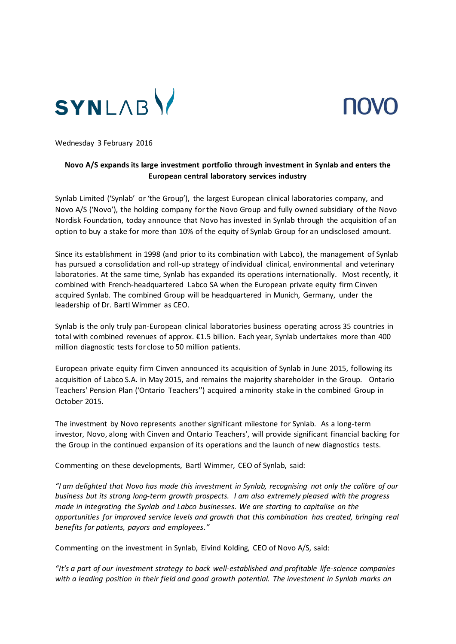



Wednesday 3 February 2016

# **Novo A/S expands its large investment portfolio through investment in Synlab and enters the European central laboratory services industry**

Synlab Limited ('Synlab' or 'the Group'), the largest European clinical laboratories company, and Novo A/S ('Novo'), the holding company for the Novo Group and fully owned subsidiary of the Novo Nordisk Foundation, today announce that Novo has invested in Synlab through the acquisition of an option to buy a stake for more than 10% of the equity of Synlab Group for an undisclosed amount.

Since its establishment in 1998 (and prior to its combination with Labco), the management of Synlab has pursued a consolidation and roll-up strategy of individual clinical, environmental and veterinary laboratories. At the same time, Synlab has expanded its operations internationally. Most recently, it combined with French-headquartered Labco SA when the European private equity firm Cinven acquired Synlab. The combined Group will be headquartered in Munich, Germany, under the leadership of Dr. Bartl Wimmer as CEO.

Synlab is the only truly pan-European clinical laboratories business operating across 35 countries in total with combined revenues of approx. €1.5 billion. Each year, Synlab undertakes more than 400 million diagnostic tests for close to 50 million patients.

European private equity firm Cinven announced its acquisition of Synlab in June 2015, following its acquisition of Labco S.A. in May 2015, and remains the majority shareholder in the Group. Ontario Teachers' Pension Plan ('Ontario Teachers'') acquired a minority stake in the combined Group in October 2015.

The investment by Novo represents another significant milestone for Synlab. As a long-term investor, Novo, along with Cinven and Ontario Teachers', will provide significant financial backing for the Group in the continued expansion of its operations and the launch of new diagnostics tests.

Commenting on these developments, Bartl Wimmer, CEO of Synlab, said:

*"I am delighted that Novo has made this investment in Synlab, recognising not only the calibre of our business but its strong long-term growth prospects. I am also extremely pleased with the progress made in integrating the Synlab and Labco businesses. We are starting to capitalise on the opportunities for improved service levels and growth that this combination has created, bringing real benefits for patients, payors and employees."*

Commenting on the investment in Synlab, Eivind Kolding, CEO of Novo A/S, said:

*"It's a part of our investment strategy to back well-established and profitable life-science companies with a leading position in their field and good growth potential. The investment in Synlab marks an*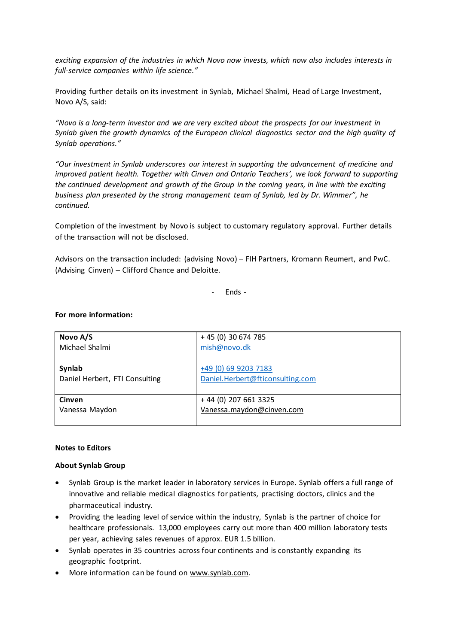*exciting expansion of the industries in which Novo now invests, which now also includes interests in full-service companies within life science."* 

Providing further details on its investment in Synlab, Michael Shalmi, Head of Large Investment, Novo A/S, said:

*"Novo is a long-term investor and we are very excited about the prospects for our investment in Synlab given the growth dynamics of the European clinical diagnostics sector and the high quality of Synlab operations."*

*"Our investment in Synlab underscores our interest in supporting the advancement of medicine and improved patient health. Together with Cinven and Ontario Teachers', we look forward to supporting the continued development and growth of the Group in the coming years, in line with the exciting business plan presented by the strong management team of Synlab, led by Dr. Wimmer", he continued.*

Completion of the investment by Novo is subject to customary regulatory approval. Further details of the transaction will not be disclosed.

Advisors on the transaction included: (advising Novo) – FIH Partners, Kromann Reumert, and PwC. (Advising Cinven) – Clifford Chance and Deloitte.

- Ends -

### **For more information:**

| Novo A/S                       | + 45 (0) 30 674 785              |
|--------------------------------|----------------------------------|
| Michael Shalmi                 | mish@novo.dk                     |
|                                |                                  |
| Synlab                         | +49 (0) 69 9203 7183             |
| Daniel Herbert, FTI Consulting | Daniel.Herbert@fticonsulting.com |
|                                |                                  |
| <b>Cinven</b>                  | +44 (0) 207 661 3325             |
| Vanessa Maydon                 | Vanessa.maydon@cinven.com        |
|                                |                                  |

#### **Notes to Editors**

### **About Synlab Group**

- Synlab Group is the market leader in laboratory services in Europe. Synlab offers a full range of innovative and reliable medical diagnostics for patients, practising doctors, clinics and the pharmaceutical industry.
- Providing the leading level of service within the industry, Synlab is the partner of choice for healthcare professionals. 13,000 employees carry out more than 400 million laboratory tests per year, achieving sales revenues of approx. EUR 1.5 billion.
- Synlab operates in 35 countries across four continents and is constantly expanding its geographic footprint.
- More information can be found o[n www.synlab.com.](http://www.synlab.com/)